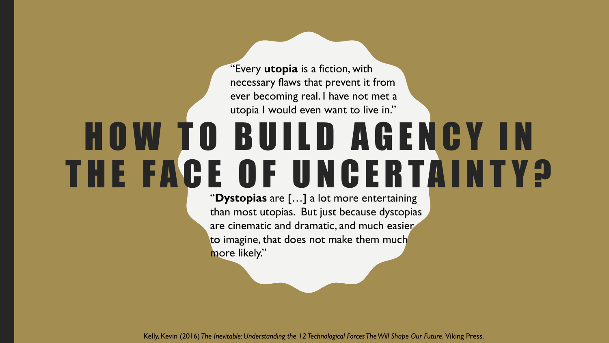"Every **utopia** is a fiction, with necessary flaws that prevent it from ever becoming real. I have not met a utopia I would even want to live in."

# H O W T O B U I L D A G E N C Y I N THE FACE OF UNCERTAINTY?

"**Dystopias** are […] a lot more entertaining than most utopias. But just because dystopias are cinematic and dramatic, and much easier to imagine, that does not make them much more likely."

Kelly, Kevin (2016) *The Inevitable: Understanding the 12 Technological Forces The Will Shape Our Future.* Viking Press.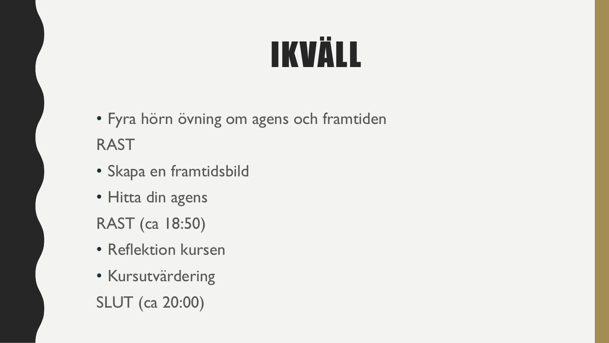# IKVÄLL

- Fyra hörn övning om agens och framtiden RAST
- Skapa en framtidsbild
- Hitta din agens
- RAST (ca 18:50)
- Reflektion kursen
- Kursutvärdering SLUT (ca 20:00)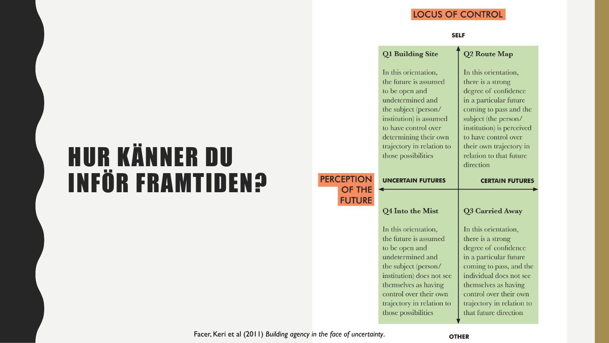#### **LOCUS OF CONTROL**

#### **SELF**

|                   | Q1 Building Site                                                                                                                                                                                                                            | Q2 Route Map                                                                                                                                                                                                                                                          |
|-------------------|---------------------------------------------------------------------------------------------------------------------------------------------------------------------------------------------------------------------------------------------|-----------------------------------------------------------------------------------------------------------------------------------------------------------------------------------------------------------------------------------------------------------------------|
|                   | In this orientation,<br>the future is assumed<br>to be open and<br>undetermined and<br>the subject (person/<br>institution) is assumed<br>to have control over<br>determining their own<br>trajectory in relation to<br>those possibilities | In this orientation,<br>there is a strong<br>degree of confidence<br>in a particular future<br>coming to pass and the<br>subject (the person/<br>institution) is perceived<br>to have control over<br>their own trajectory in<br>relation to that future<br>direction |
| <b>PERCEPTION</b> | <b>UNCERTAIN FUTURES</b>                                                                                                                                                                                                                    | <b>CERTAIN FUTURES</b>                                                                                                                                                                                                                                                |
| <b>OF THE</b>     |                                                                                                                                                                                                                                             |                                                                                                                                                                                                                                                                       |
| <b>FUTURE</b>     | Q4 Into the Mist                                                                                                                                                                                                                            | Q3 Carried Away                                                                                                                                                                                                                                                       |

## HUR KÄNNER DU INFÖR FRAMTIDEN?

Facer, Keri et al (2011) *Building agency in the face of uncertainty*.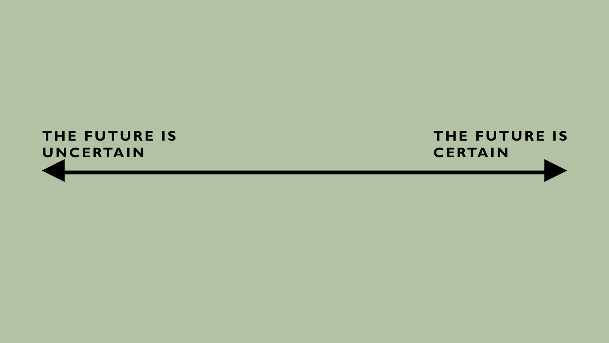#### **THE FUTURE IS UNCERTAIN**

#### **THE FUTURE IS CERTAIN**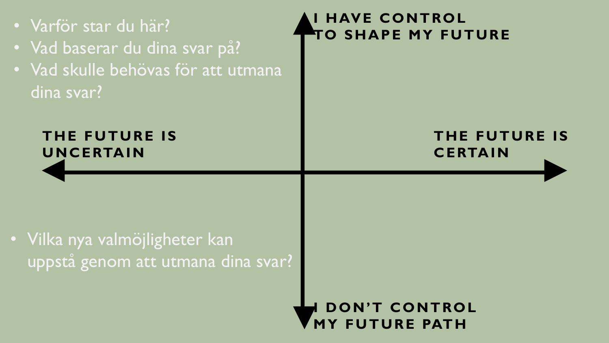**THE FUTURE IS UNCERTAIN THE FUTURE IS CERTAIN I HAVE CONTROL TO SHAPE MY FUTURE DON'T CONTROL MY FUTURE PATH** • Varför star du här? • Vad baserar du dina svar på? • Vad skulle behövas för att utmana dina svar? • Vilka nya valmöjligheter kan uppstå genom att utmana dina svar?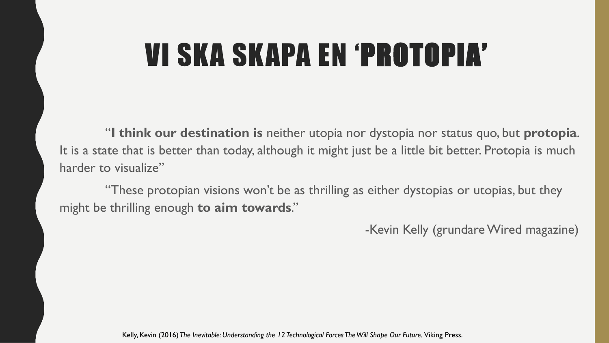## VI SKA SKAPA EN 'PROTOPIA'

"**I think our destination is** neither utopia nor dystopia nor status quo, but **protopia**. It is a state that is better than today, although it might just be a little bit better. Protopia is much harder to visualize"

"These protopian visions won't be as thrilling as either dystopias or utopias, but they might be thrilling enough **to aim towards**."

-Kevin Kelly (grundare Wired magazine)

Kelly, Kevin (2016) *The Inevitable: Understanding the 12 Technological Forces The Will Shape Our Future.* Viking Press.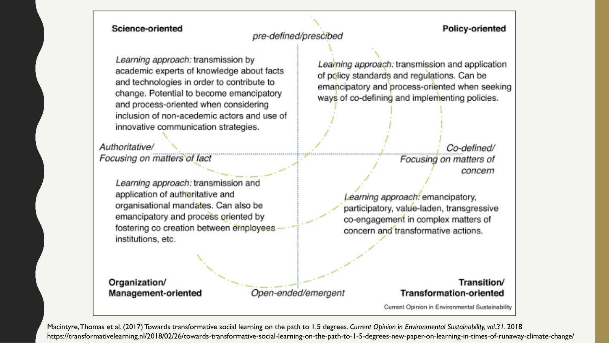#### Science-oriented

#### **Policy-oriented**

#### pre-defined/prescibed

Learning approach: transmission by academic experts of knowledge about facts and technologies in order to contribute to change. Potential to become emancipatory and process-oriented when considering inclusion of non-acedemic actors and use of innovative communication strategies.

Authoritative/ Focusing on matters of fact

> Learning approach: transmission and application of authoritative and organisational mandates. Can also be emancipatory and process oriented by fostering co creation between employees institutions, etc.

Learning approach: transmission and application of policy standards and regulations. Can be emancipatory and process-oriented when seeking ways of co-defining and implementing policies.

> Co-defined/ Focusing on matters of concern

Learning approach: emancipatory, participatory, value-laden, transgressive co-engagement in complex matters of concern and transformative actions.

Organization/ **Management-oriented** 

Open-ended/emergent

#### Transition/ **Transformation-oriented**

Current Opinion in Environmental Sustainability

Macintyre, Thomas et al. (2017) Towards transformative social learning on the path to 1.5 degrees. *Current Opinion in Environmental Sustainability, vol.31.* 2018 https://transformativelearning.nl/2018/02/26/towards-transformative-social-learning-on-the-path-to-1-5-degrees-new-paper-on-learning-in-times-of-runaway-climate-change/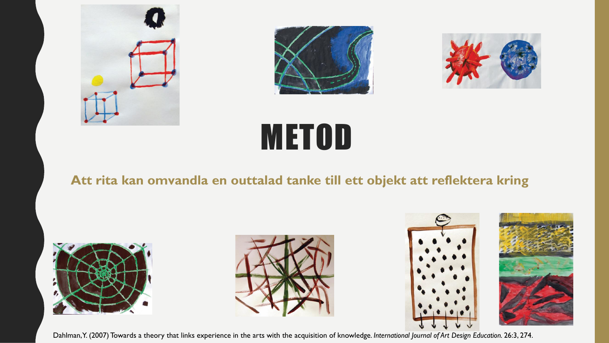





# **METOD**

#### **Att rita kan omvandla en outtalad tanke till ett objekt att reflektera kring**









Dahlman, Y. (2007) Towards a theory that links experience in the arts with the acquisition of knowledge*. International Journal of Art Design Education.* 26:3, 274.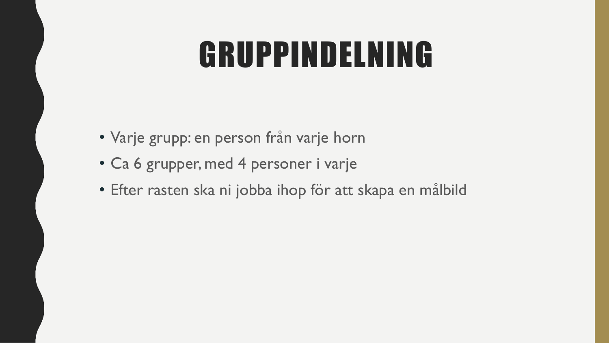# GRUPPINDELNING

- Varje grupp: en person från varje horn
- Ca 6 grupper, med 4 personer i varje
- Efter rasten ska ni jobba ihop för att skapa en målbild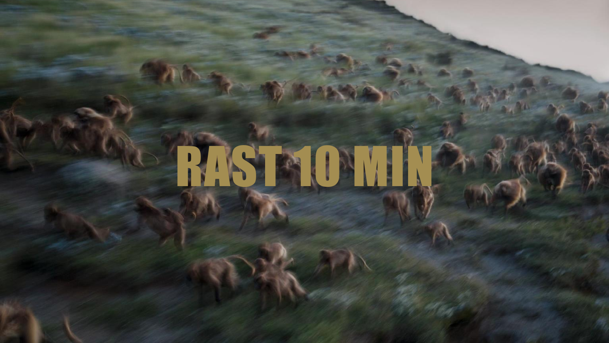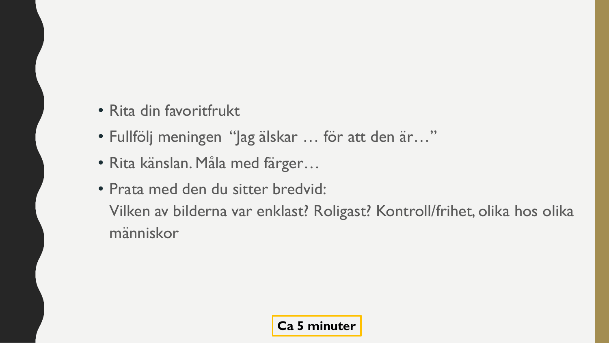- Rita din favoritfrukt
- Fullfölj meningen "Jag älskar … för att den är…"
- Rita känslan. Måla med färger…
- Prata med den du sitter bredvid: Vilken av bilderna var enklast? Roligast? Kontroll/frihet, olika hos olika människor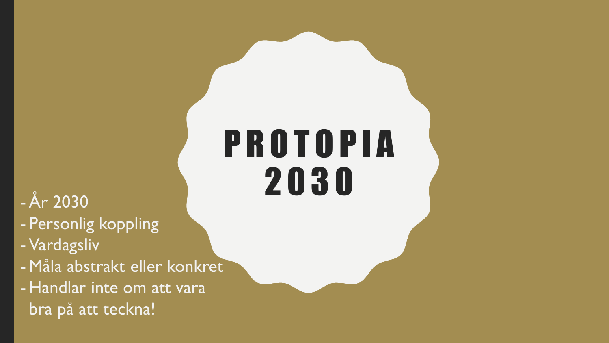# P R O T O P I A 2030 2030

- Personlig koppling
- Vardagsliv
- Måla abstrakt eller konkret
- Handlar inte om att vara bra på att teckna!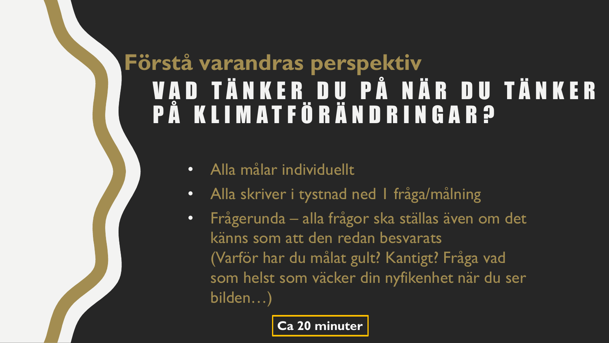## V A D T Ä N K E R D U P Å NÄR D U T Ä N K E R P Å K L I M A T F Ö R Ä N D R I N G A R ? **Förstå varandras perspektiv**

- Alla målar individuellt
- Alla skriver i tystnad ned I fråga/målning
- Frågerunda alla frågor ska ställas även om det känns som att den redan besvarats (Varför har du målat gult? Kantigt? Fråga vad som helst som väcker din nyfikenhet när du ser bilden…)

#### **Ca 20 minuter**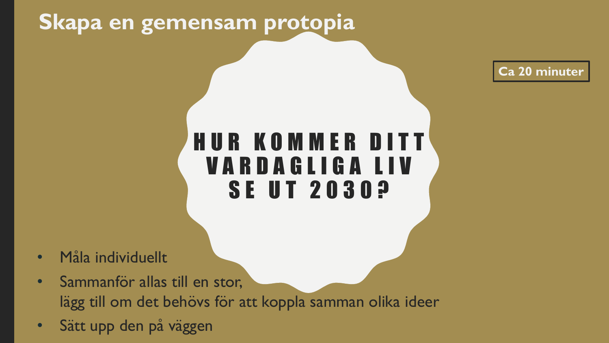### **Skapa en gemensam protopia**

**Ca 20 minuter**

### H U R K O M M E R D I T T V A R D A G L I G A L I V **SE UT 2030?**

- Måla individuellt
- Sammanför allas till en stor, lägg till om det behövs för att koppla samman olika ideer
- Sätt upp den på väggen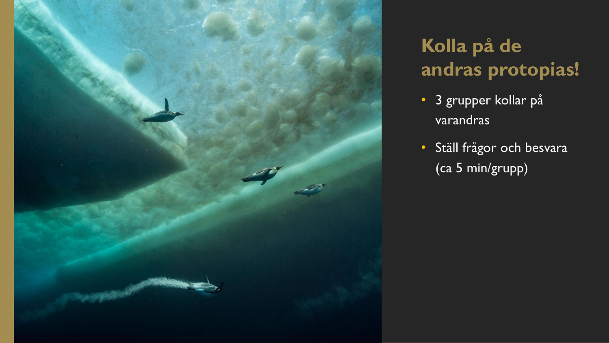

### **Kolla på de andras protopias!**

- **3 grupper kollar på** varandras
- Ställ frågor och besvara (ca 5 min/grupp)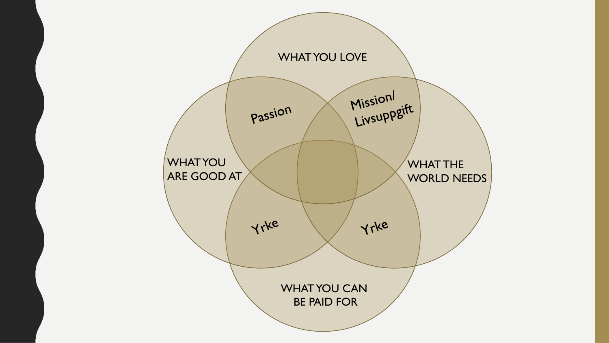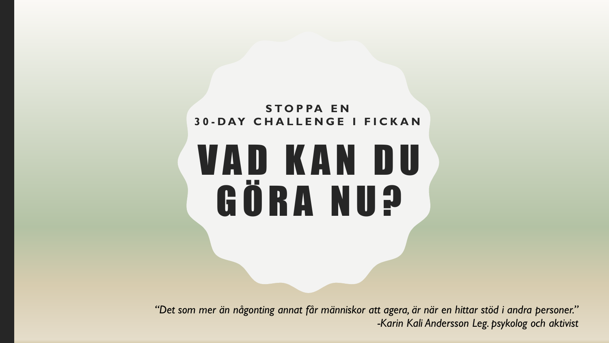#### **S T O P PA E N 3 0 - D AY C H A L L E N G E I F I C K A N**

# V A D K A N D U GÖRA NU?

"Det som mer än någonting annat får människor att agera, är när en hittar stöd i andra personer." *-Karin Kali Andersson Leg. psykolog och aktivist*